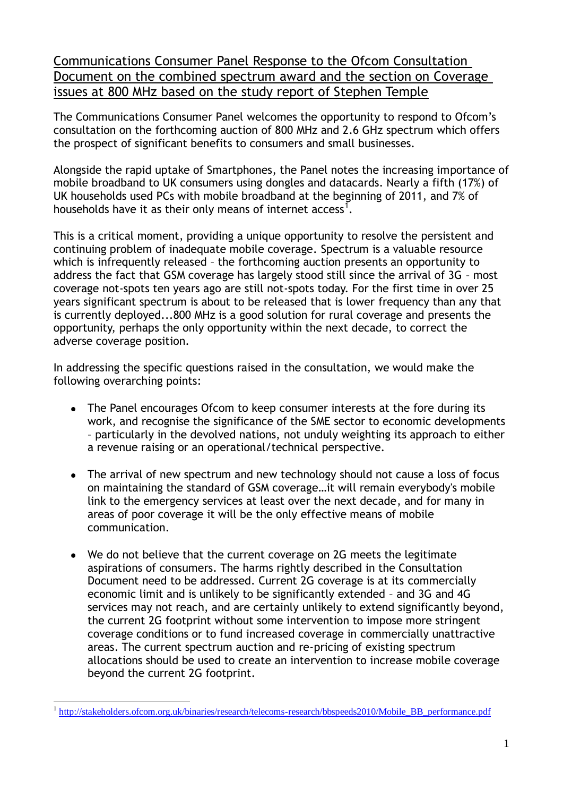Communications Consumer Panel Response to the Ofcom Consultation Document on the combined spectrum award and the section on Coverage issues at 800 MHz based on the study report of Stephen Temple

The Communications Consumer Panel welcomes the opportunity to respond to Ofcom"s consultation on the forthcoming auction of 800 MHz and 2.6 GHz spectrum which offers the prospect of significant benefits to consumers and small businesses.

Alongside the rapid uptake of Smartphones, the Panel notes the increasing importance of mobile broadband to UK consumers using dongles and datacards. Nearly a fifth (17%) of UK households used PCs with mobile broadband at the beginning of 2011, and 7% of households have it as their only means of internet access<sup>1</sup>.

This is a critical moment, providing a unique opportunity to resolve the persistent and continuing problem of inadequate mobile coverage. Spectrum is a valuable resource which is infrequently released – the forthcoming auction presents an opportunity to address the fact that GSM coverage has largely stood still since the arrival of 3G – most coverage not-spots ten years ago are still not-spots today. For the first time in over 25 years significant spectrum is about to be released that is lower frequency than any that is currently deployed...800 MHz is a good solution for rural coverage and presents the opportunity, perhaps the only opportunity within the next decade, to correct the adverse coverage position.

In addressing the specific questions raised in the consultation, we would make the following overarching points:

- The Panel encourages Ofcom to keep consumer interests at the fore during its work, and recognise the significance of the SME sector to economic developments – particularly in the devolved nations, not unduly weighting its approach to either a revenue raising or an operational/technical perspective.
- The arrival of new spectrum and new technology should not cause a loss of focus on maintaining the standard of GSM coverage…it will remain everybody's mobile link to the emergency services at least over the next decade, and for many in areas of poor coverage it will be the only effective means of mobile communication.
- We do not believe that the current coverage on 2G meets the legitimate  $\bullet$ aspirations of consumers. The harms rightly described in the Consultation Document need to be addressed. Current 2G coverage is at its commercially economic limit and is unlikely to be significantly extended – and 3G and 4G services may not reach, and are certainly unlikely to extend significantly beyond, the current 2G footprint without some intervention to impose more stringent coverage conditions or to fund increased coverage in commercially unattractive areas. The current spectrum auction and re-pricing of existing spectrum allocations should be used to create an intervention to increase mobile coverage beyond the current 2G footprint.

<sup>1</sup> 1 [http://stakeholders.ofcom.org.uk/binaries/research/telecoms-research/bbspeeds2010/Mobile\\_BB\\_performance.pdf](http://stakeholders.ofcom.org.uk/binaries/research/telecoms-research/bbspeeds2010/Mobile_BB_performance.pdf)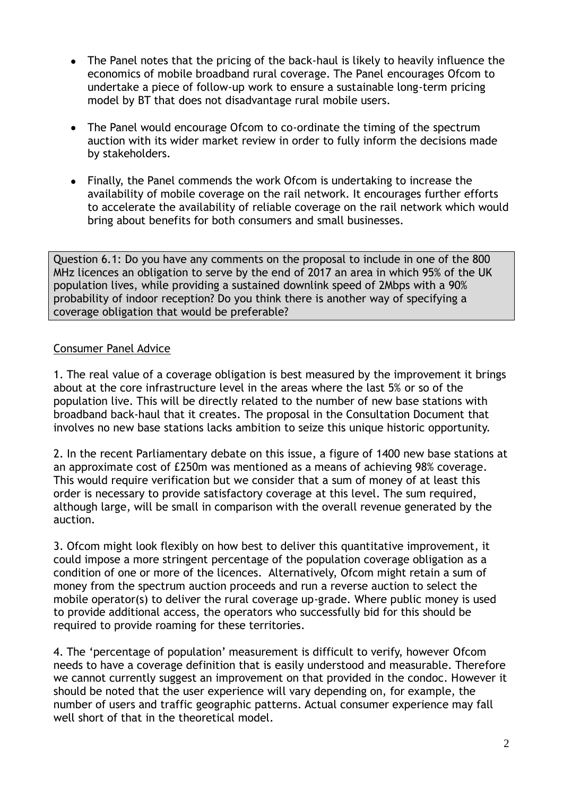- The Panel notes that the pricing of the back-haul is likely to heavily influence the economics of mobile broadband rural coverage. The Panel encourages Ofcom to undertake a piece of follow-up work to ensure a sustainable long-term pricing model by BT that does not disadvantage rural mobile users.
- The Panel would encourage Ofcom to co-ordinate the timing of the spectrum  $\bullet$ auction with its wider market review in order to fully inform the decisions made by stakeholders.
- Finally, the Panel commends the work Ofcom is undertaking to increase the availability of mobile coverage on the rail network. It encourages further efforts to accelerate the availability of reliable coverage on the rail network which would bring about benefits for both consumers and small businesses.

Question 6.1: Do you have any comments on the proposal to include in one of the 800 MHz licences an obligation to serve by the end of 2017 an area in which 95% of the UK population lives, while providing a sustained downlink speed of 2Mbps with a 90% probability of indoor reception? Do you think there is another way of specifying a coverage obligation that would be preferable?

# Consumer Panel Advice

1. The real value of a coverage obligation is best measured by the improvement it brings about at the core infrastructure level in the areas where the last 5% or so of the population live. This will be directly related to the number of new base stations with broadband back-haul that it creates. The proposal in the Consultation Document that involves no new base stations lacks ambition to seize this unique historic opportunity.

2. In the recent Parliamentary debate on this issue, a figure of 1400 new base stations at an approximate cost of £250m was mentioned as a means of achieving 98% coverage. This would require verification but we consider that a sum of money of at least this order is necessary to provide satisfactory coverage at this level. The sum required, although large, will be small in comparison with the overall revenue generated by the auction.

3. Ofcom might look flexibly on how best to deliver this quantitative improvement, it could impose a more stringent percentage of the population coverage obligation as a condition of one or more of the licences. Alternatively, Ofcom might retain a sum of money from the spectrum auction proceeds and run a reverse auction to select the mobile operator(s) to deliver the rural coverage up-grade. Where public money is used to provide additional access, the operators who successfully bid for this should be required to provide roaming for these territories.

4. The "percentage of population" measurement is difficult to verify, however Ofcom needs to have a coverage definition that is easily understood and measurable. Therefore we cannot currently suggest an improvement on that provided in the condoc. However it should be noted that the user experience will vary depending on, for example, the number of users and traffic geographic patterns. Actual consumer experience may fall well short of that in the theoretical model.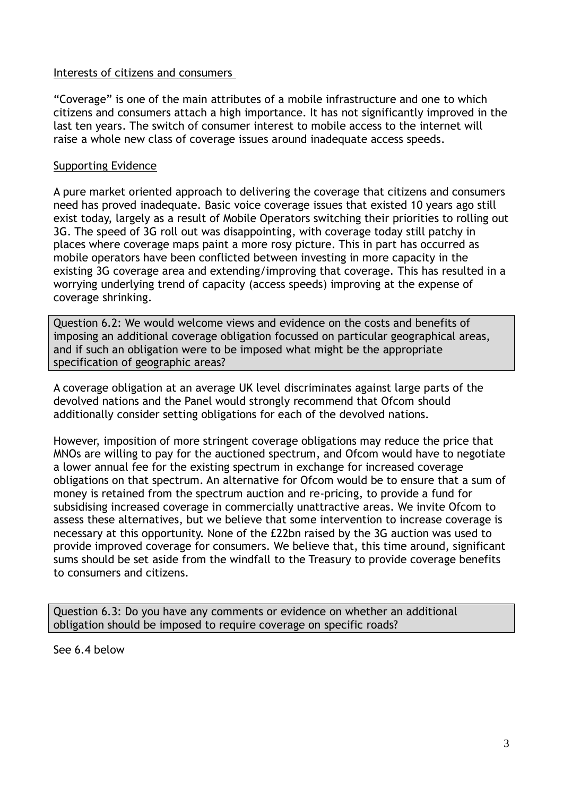### Interests of citizens and consumers

"Coverage" is one of the main attributes of a mobile infrastructure and one to which citizens and consumers attach a high importance. It has not significantly improved in the last ten years. The switch of consumer interest to mobile access to the internet will raise a whole new class of coverage issues around inadequate access speeds.

### Supporting Evidence

A pure market oriented approach to delivering the coverage that citizens and consumers need has proved inadequate. Basic voice coverage issues that existed 10 years ago still exist today, largely as a result of Mobile Operators switching their priorities to rolling out 3G. The speed of 3G roll out was disappointing, with coverage today still patchy in places where coverage maps paint a more rosy picture. This in part has occurred as mobile operators have been conflicted between investing in more capacity in the existing 3G coverage area and extending/improving that coverage. This has resulted in a worrying underlying trend of capacity (access speeds) improving at the expense of coverage shrinking.

Question 6.2: We would welcome views and evidence on the costs and benefits of imposing an additional coverage obligation focussed on particular geographical areas, and if such an obligation were to be imposed what might be the appropriate specification of geographic areas?

A coverage obligation at an average UK level discriminates against large parts of the devolved nations and the Panel would strongly recommend that Ofcom should additionally consider setting obligations for each of the devolved nations.

However, imposition of more stringent coverage obligations may reduce the price that MNOs are willing to pay for the auctioned spectrum, and Ofcom would have to negotiate a lower annual fee for the existing spectrum in exchange for increased coverage obligations on that spectrum. An alternative for Ofcom would be to ensure that a sum of money is retained from the spectrum auction and re-pricing, to provide a fund for subsidising increased coverage in commercially unattractive areas. We invite Ofcom to assess these alternatives, but we believe that some intervention to increase coverage is necessary at this opportunity. None of the £22bn raised by the 3G auction was used to provide improved coverage for consumers. We believe that, this time around, significant sums should be set aside from the windfall to the Treasury to provide coverage benefits to consumers and citizens.

Question 6.3: Do you have any comments or evidence on whether an additional obligation should be imposed to require coverage on specific roads?

See 6.4 below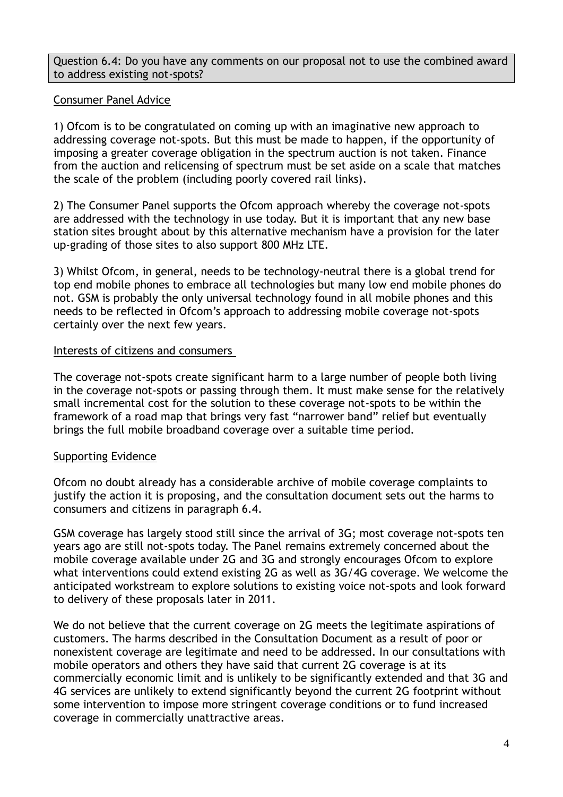Question 6.4: Do you have any comments on our proposal not to use the combined award to address existing not-spots?

### Consumer Panel Advice

1) Ofcom is to be congratulated on coming up with an imaginative new approach to addressing coverage not-spots. But this must be made to happen, if the opportunity of imposing a greater coverage obligation in the spectrum auction is not taken. Finance from the auction and relicensing of spectrum must be set aside on a scale that matches the scale of the problem (including poorly covered rail links).

2) The Consumer Panel supports the Ofcom approach whereby the coverage not-spots are addressed with the technology in use today. But it is important that any new base station sites brought about by this alternative mechanism have a provision for the later up-grading of those sites to also support 800 MHz LTE.

3) Whilst Ofcom, in general, needs to be technology-neutral there is a global trend for top end mobile phones to embrace all technologies but many low end mobile phones do not. GSM is probably the only universal technology found in all mobile phones and this needs to be reflected in Ofcom"s approach to addressing mobile coverage not-spots certainly over the next few years.

### Interests of citizens and consumers

The coverage not-spots create significant harm to a large number of people both living in the coverage not-spots or passing through them. It must make sense for the relatively small incremental cost for the solution to these coverage not-spots to be within the framework of a road map that brings very fast "narrower band" relief but eventually brings the full mobile broadband coverage over a suitable time period.

### Supporting Evidence

Ofcom no doubt already has a considerable archive of mobile coverage complaints to justify the action it is proposing, and the consultation document sets out the harms to consumers and citizens in paragraph 6.4.

GSM coverage has largely stood still since the arrival of 3G; most coverage not-spots ten years ago are still not-spots today. The Panel remains extremely concerned about the mobile coverage available under 2G and 3G and strongly encourages Ofcom to explore what interventions could extend existing 2G as well as 3G/4G coverage. We welcome the anticipated workstream to explore solutions to existing voice not-spots and look forward to delivery of these proposals later in 2011.

We do not believe that the current coverage on 2G meets the legitimate aspirations of customers. The harms described in the Consultation Document as a result of poor or nonexistent coverage are legitimate and need to be addressed. In our consultations with mobile operators and others they have said that current 2G coverage is at its commercially economic limit and is unlikely to be significantly extended and that 3G and 4G services are unlikely to extend significantly beyond the current 2G footprint without some intervention to impose more stringent coverage conditions or to fund increased coverage in commercially unattractive areas.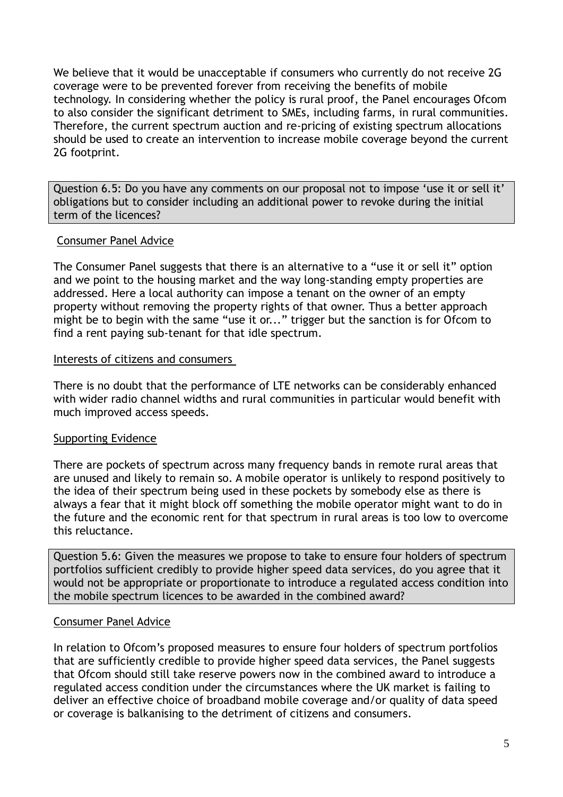We believe that it would be unacceptable if consumers who currently do not receive 2G coverage were to be prevented forever from receiving the benefits of mobile technology. In considering whether the policy is rural proof, the Panel encourages Ofcom to also consider the significant detriment to SMEs, including farms, in rural communities. Therefore, the current spectrum auction and re-pricing of existing spectrum allocations should be used to create an intervention to increase mobile coverage beyond the current 2G footprint.

Question 6.5: Do you have any comments on our proposal not to impose 'use it or sell it' obligations but to consider including an additional power to revoke during the initial term of the licences?

### Consumer Panel Advice

The Consumer Panel suggests that there is an alternative to a "use it or sell it" option and we point to the housing market and the way long-standing empty properties are addressed. Here a local authority can impose a tenant on the owner of an empty property without removing the property rights of that owner. Thus a better approach might be to begin with the same "use it or..." trigger but the sanction is for Ofcom to find a rent paying sub-tenant for that idle spectrum.

### Interests of citizens and consumers

There is no doubt that the performance of LTE networks can be considerably enhanced with wider radio channel widths and rural communities in particular would benefit with much improved access speeds.

# Supporting Evidence

There are pockets of spectrum across many frequency bands in remote rural areas that are unused and likely to remain so. A mobile operator is unlikely to respond positively to the idea of their spectrum being used in these pockets by somebody else as there is always a fear that it might block off something the mobile operator might want to do in the future and the economic rent for that spectrum in rural areas is too low to overcome this reluctance.

Question 5.6: Given the measures we propose to take to ensure four holders of spectrum portfolios sufficient credibly to provide higher speed data services, do you agree that it would not be appropriate or proportionate to introduce a regulated access condition into the mobile spectrum licences to be awarded in the combined award?

# Consumer Panel Advice

In relation to Ofcom"s proposed measures to ensure four holders of spectrum portfolios that are sufficiently credible to provide higher speed data services, the Panel suggests that Ofcom should still take reserve powers now in the combined award to introduce a regulated access condition under the circumstances where the UK market is failing to deliver an effective choice of broadband mobile coverage and/or quality of data speed or coverage is balkanising to the detriment of citizens and consumers.